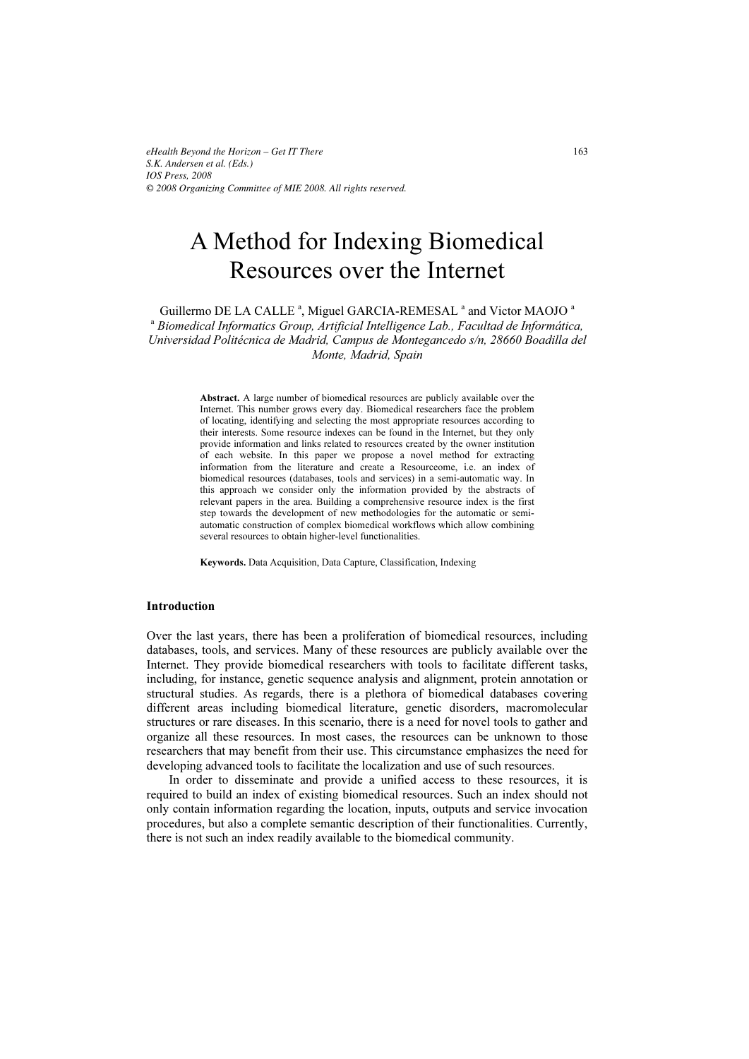# A Method for Indexing Biomedical Resources over the Internet

Guillermo DE LA CALLE<sup>a</sup>, Miguel GARCIA-REMESAL<sup>a</sup> and Victor MAOJO<sup>a</sup> <sup>a</sup> Biomedical Informatics Group, Artificial Intelligence Lab., Facultad de Informática, Universidad Politécnica de Madrid, Campus de Montegancedo s/n, 28660 Boadilla del Monte, Madrid, Spain

> Abstract. A large number of biomedical resources are publicly available over the Internet. This number grows every day. Biomedical researchers face the problem of locating, identifying and selecting the most appropriate resources according to their interests. Some resource indexes can be found in the Internet, but they only provide information and links related to resources created by the owner institution of each website. In this paper we propose a novel method for extracting information from the literature and create a Resourceome, i.e. an index of biomedical resources (databases, tools and services) in a semi-automatic way. In this approach we consider only the information provided by the abstracts of relevant papers in the area. Building a comprehensive resource index is the first step towards the development of new methodologies for the automatic or semiautomatic construction of complex biomedical workflows which allow combining several resources to obtain higher-level functionalities.

Keywords. Data Acquisition, Data Capture, Classification, Indexing

# Introduction

Over the last years, there has been a proliferation of biomedical resources, including databases, tools, and services. Many of these resources are publicly available over the Internet. They provide biomedical researchers with tools to facilitate different tasks, including, for instance, genetic sequence analysis and alignment, protein annotation or structural studies. As regards, there is a plethora of biomedical databases covering different areas including biomedical literature, genetic disorders, macromolecular structures or rare diseases. In this scenario, there is a need for novel tools to gather and organize all these resources. In most cases, the resources can be unknown to those researchers that may benefit from their use. This circumstance emphasizes the need for developing advanced tools to facilitate the localization and use of such resources.

In order to disseminate and provide a unified access to these resources, it is required to build an index of existing biomedical resources. Such an index should not only contain information regarding the location, inputs, outputs and service invocation procedures, but also a complete semantic description of their functionalities. Currently, there is not such an index readily available to the biomedical community.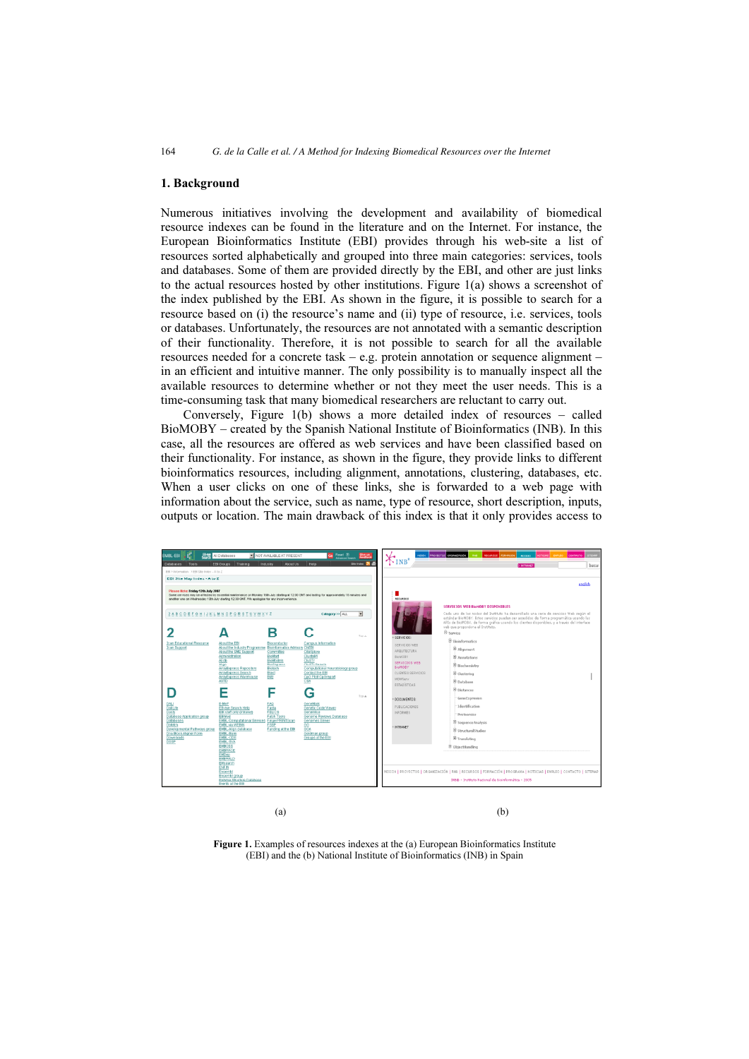# 1. Background

Numerous initiatives involving the development and availability of biomedical resource indexes can be found in the literature and on the Internet. For instance, the European Bioinformatics Institute (EBI) provides through his web-site a list of resources sorted alphabetically and grouped into three main categories: services, tools and databases. Some of them are provided directly by the EBI, and other are just links to the actual resources hosted by other institutions. Figure 1(a) shows a screenshot of the index published by the EBI. As shown in the figure, it is possible to search for a resource based on (i) the resource's name and (ii) type of resource, i.e. services, tools or databases. Unfortunately, the resources are not annotated with a semantic description of their functionality. Therefore, it is not possible to search for all the available resources needed for a concrete task – e.g. protein annotation or sequence alignment – in an efficient and intuitive manner. The only possibility is to manually inspect all the available resources to determine whether or not they meet the user needs. This is a time-consuming task that many biomedical researchers are reluctant to carry out.

Conversely, Figure 1(b) shows a more detailed index of resources – called BioMOBY – created by the Spanish National Institute of Bioinformatics (INB). In this case, all the resources are offered as web services and have been classified based on their functionality. For instance, as shown in the figure, they provide links to different bioinformatics resources, including alignment, annotations, clustering, databases, etc. When a user clicks on one of these links, she is forwarded to a web page with information about the service, such as name, type of resource, short description, inputs, outputs or location. The main drawback of this index is that it only provides access to

| 812<br>EMBL-EBI:<br><b>Databases</b><br><b>Tools</b><br>EBI > Information > EBI Site Index - A to Z                                                                                                                                                                                                                                                                                        | <b>EBATE</b> All Databases<br>EBI Groups<br>Training                                                                                                                                                                                                                                                                                                                                         | NOT AVAILABLE AT PRESENT<br>About Us<br>Industry                                                                              | Go Reset 17<br>Help                                                                                                                                                            | Site Index <b>N</b>               | $\mathcal{K}_{\text{INB}}$                                                                                                                                      | HISKN PROVECTOR ORGANIZACIÓN<br><b>RECURSOS</b><br>PORHADION<br><b>ACCESO</b><br>NOTICIAS<br>DIPLEO:<br>CONTACTO<br><b>DISTRANCE</b><br>buscar                                                                                                                                                                                                                                                                                                                            |
|--------------------------------------------------------------------------------------------------------------------------------------------------------------------------------------------------------------------------------------------------------------------------------------------------------------------------------------------------------------------------------------------|----------------------------------------------------------------------------------------------------------------------------------------------------------------------------------------------------------------------------------------------------------------------------------------------------------------------------------------------------------------------------------------------|-------------------------------------------------------------------------------------------------------------------------------|--------------------------------------------------------------------------------------------------------------------------------------------------------------------------------|-----------------------------------|-----------------------------------------------------------------------------------------------------------------------------------------------------------------|---------------------------------------------------------------------------------------------------------------------------------------------------------------------------------------------------------------------------------------------------------------------------------------------------------------------------------------------------------------------------------------------------------------------------------------------------------------------------|
| <b>CDI Site Map Index - A to Z</b><br>english<br>Please Note: Friday 13th July 2007<br>Some services may be affected by essential maintenance on Monday 16th July starting at 12:00 GMT and lasting for approximately 15 minutes and<br>REDURSOS<br>another one on Wednesday 18th July starting 12:30 OMT. We apologise for any inconvenience.<br><b>SERVICIOS WEB BioMOBY DISPONIBLES</b> |                                                                                                                                                                                                                                                                                                                                                                                              |                                                                                                                               |                                                                                                                                                                                |                                   |                                                                                                                                                                 |                                                                                                                                                                                                                                                                                                                                                                                                                                                                           |
| 2can Educational Resource<br>2can Support                                                                                                                                                                                                                                                                                                                                                  | 2ABCDEFGHIJKLMNOPQRSTUVWXYZ<br>About the EBI<br>About the Industry Programme Bioinformatics Advisory ChEBI<br>About the SME Support<br>Administration<br><b>AEdb</b><br>Align<br>ArrayExpress Repository<br>ArrayExpress Search<br>ArrayExpress Warehouse<br><b>ASTD</b>                                                                                                                     | R<br><b>Bioconductor</b><br>Committee<br><b>BioMart</b><br>BioModels<br>RinSanjens<br><b>Biotech</b><br><b>Blast</b><br>Blitz | Category >> ALL<br>Campus Information<br>CiteXplore<br>ClustatW<br>CluSTr<br>CluSTr Search<br>Computational Neurobiology group<br>Contact the EBI<br>CpG Plot/CpGregort<br>CSA | $\overline{\phantom{a}}$<br>Top A | SERVICIOS:<br>SERVICIOS WER<br>ARQUITECTURA<br>RicMORY<br><b>SERVICIOS WEB</b><br><b>BioMOBY</b><br>CLIENTES SERVICIOS<br><b>MDWServ</b><br><b>ESTADÍSTICAS</b> | Cada uno de los nodos del Instituto ha desarrollado una serie de servicios Web según el<br>estándar BioMOBY. Estos servicios pueden ser accedidos de forma programática usando las<br>APIs de BioMOBY, de forma oráfica usando los dientes disponibles, y a través del interface<br>veb que proporciona el Instituto.<br>$B$ -Service<br>B Bioinformatics<br>C Alignment<br>E Annotations<br>B Biochemistry<br>E Clustering<br><sup><i><u><b>E</b></u></i> Database</sup> |
| DALI<br><b>DaliLite</b><br>Dasty<br>Database Application group<br>Databases<br><b>Defetch</b><br>Developmental Pathways group<br>Dna Block Aligner Form<br>Downloads<br><b>DSSP</b>                                                                                                                                                                                                        | E-MeP<br>EB-eye Search Help<br>EBI staff only (intranet)<br>EBIMed<br><b>EMBL Computational Services FingerPRINTScan</b><br><b>EMBL via WEBIN</b><br>EMBL-Align database<br><b>EMBL-Bank</b><br><b>EMBL-CDS</b><br>EMBL-SVA<br>EMBOSS<br>EMBRACE<br><b>EMDep</b><br>EMERALD<br>EMsearch<br><b>ENFIN</b><br>Ensembl<br>Ensembl group<br>Enzyme Structure Database<br><b>Events at the EBI</b> | FAQ<br>Fasta<br><b>FELICS</b><br>Fetch Tools<br><b>FSSP</b><br>Funding at the EBI                                             | G<br>GeneMark<br>Genetic Code Viewer<br>GeneWise<br>Genome Reviews Database<br>Genomes Server<br>GO<br><b>GOA</b><br><b>Goldman</b> group<br>Groups at the EBI                 | Top A                             | DOCUMENTOS:<br>PURLICACIONES<br><b>INFORMES</b><br>INTRANET                                                                                                     | <sup>B</sup> Distances<br>GeneExpresion<br>Identification<br>Proteomics<br><sup>E</sup> Sequence Analysis<br>E Structural Studies<br>E Translating<br>E ObjectHandling<br>MISION   PROYECTOS   ORGANIZACIÓN   RNB   RECURSOS   FORMACIÓN   PROGRAMA   NOTICIAS   EMPLEO   CONTACTO   SITEMAP<br>INB® - Instituto Nacional de Bioinformática - 2005                                                                                                                        |

 $(a)$  (b)

Figure 1. Examples of resources indexes at the (a) European Bioinformatics Institute (EBI) and the (b) National Institute of Bioinformatics (INB) in Spain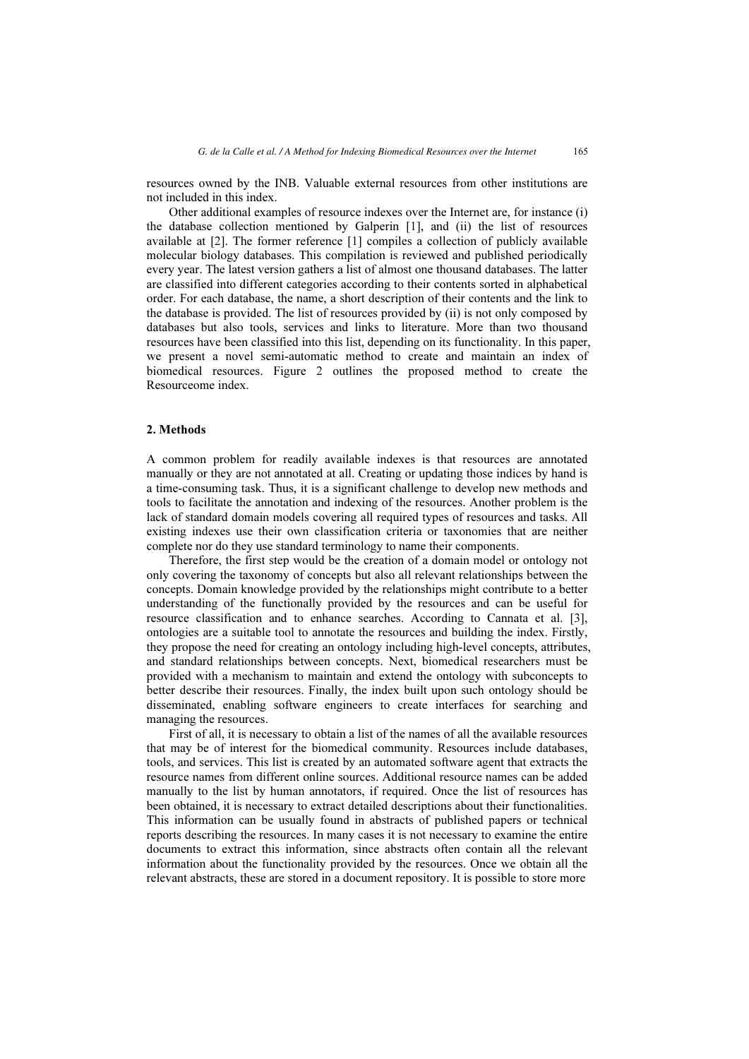resources owned by the INB. Valuable external resources from other institutions are not included in this index.

Other additional examples of resource indexes over the Internet are, for instance (i) the database collection mentioned by Galperin [1], and (ii) the list of resources available at [2]. The former reference [1] compiles a collection of publicly available molecular biology databases. This compilation is reviewed and published periodically every year. The latest version gathers a list of almost one thousand databases. The latter are classified into different categories according to their contents sorted in alphabetical order. For each database, the name, a short description of their contents and the link to the database is provided. The list of resources provided by (ii) is not only composed by databases but also tools, services and links to literature. More than two thousand resources have been classified into this list, depending on its functionality. In this paper, we present a novel semi-automatic method to create and maintain an index of biomedical resources. Figure 2 outlines the proposed method to create the Resourceome index.

#### 2. Methods

A common problem for readily available indexes is that resources are annotated manually or they are not annotated at all. Creating or updating those indices by hand is a time-consuming task. Thus, it is a significant challenge to develop new methods and tools to facilitate the annotation and indexing of the resources. Another problem is the lack of standard domain models covering all required types of resources and tasks. All existing indexes use their own classification criteria or taxonomies that are neither complete nor do they use standard terminology to name their components.

Therefore, the first step would be the creation of a domain model or ontology not only covering the taxonomy of concepts but also all relevant relationships between the concepts. Domain knowledge provided by the relationships might contribute to a better understanding of the functionally provided by the resources and can be useful for resource classification and to enhance searches. According to Cannata et al. [3], ontologies are a suitable tool to annotate the resources and building the index. Firstly, they propose the need for creating an ontology including high-level concepts, attributes, and standard relationships between concepts. Next, biomedical researchers must be provided with a mechanism to maintain and extend the ontology with subconcepts to better describe their resources. Finally, the index built upon such ontology should be disseminated, enabling software engineers to create interfaces for searching and managing the resources.

First of all, it is necessary to obtain a list of the names of all the available resources that may be of interest for the biomedical community. Resources include databases, tools, and services. This list is created by an automated software agent that extracts the resource names from different online sources. Additional resource names can be added manually to the list by human annotators, if required. Once the list of resources has been obtained, it is necessary to extract detailed descriptions about their functionalities. This information can be usually found in abstracts of published papers or technical reports describing the resources. In many cases it is not necessary to examine the entire documents to extract this information, since abstracts often contain all the relevant information about the functionality provided by the resources. Once we obtain all the relevant abstracts, these are stored in a document repository. It is possible to store more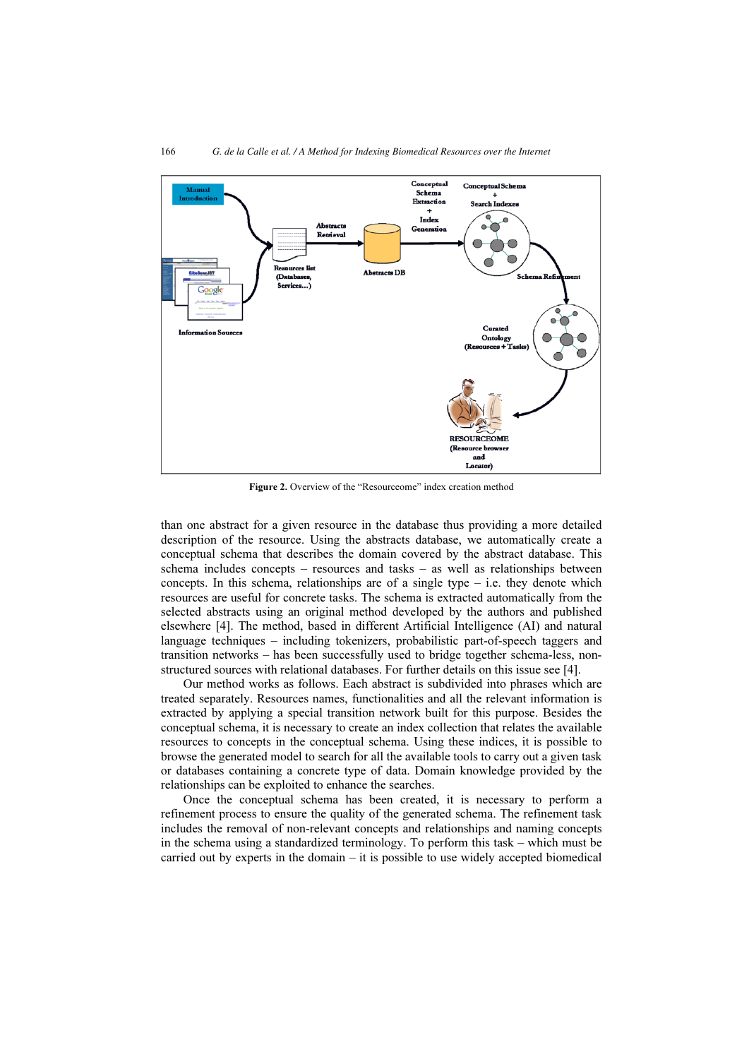

Figure 2. Overview of the "Resourceome" index creation method

than one abstract for a given resource in the database thus providing a more detailed description of the resource. Using the abstracts database, we automatically create a conceptual schema that describes the domain covered by the abstract database. This schema includes concepts – resources and tasks – as well as relationships between concepts. In this schema, relationships are of a single type  $-$  i.e. they denote which resources are useful for concrete tasks. The schema is extracted automatically from the selected abstracts using an original method developed by the authors and published elsewhere [4]. The method, based in different Artificial Intelligence (AI) and natural language techniques – including tokenizers, probabilistic part-of-speech taggers and transition networks – has been successfully used to bridge together schema-less, nonstructured sources with relational databases. For further details on this issue see [4].

Our method works as follows. Each abstract is subdivided into phrases which are treated separately. Resources names, functionalities and all the relevant information is extracted by applying a special transition network built for this purpose. Besides the conceptual schema, it is necessary to create an index collection that relates the available resources to concepts in the conceptual schema. Using these indices, it is possible to browse the generated model to search for all the available tools to carry out a given task or databases containing a concrete type of data. Domain knowledge provided by the relationships can be exploited to enhance the searches.

Once the conceptual schema has been created, it is necessary to perform a refinement process to ensure the quality of the generated schema. The refinement task includes the removal of non-relevant concepts and relationships and naming concepts in the schema using a standardized terminology. To perform this task – which must be carried out by experts in the domain – it is possible to use widely accepted biomedical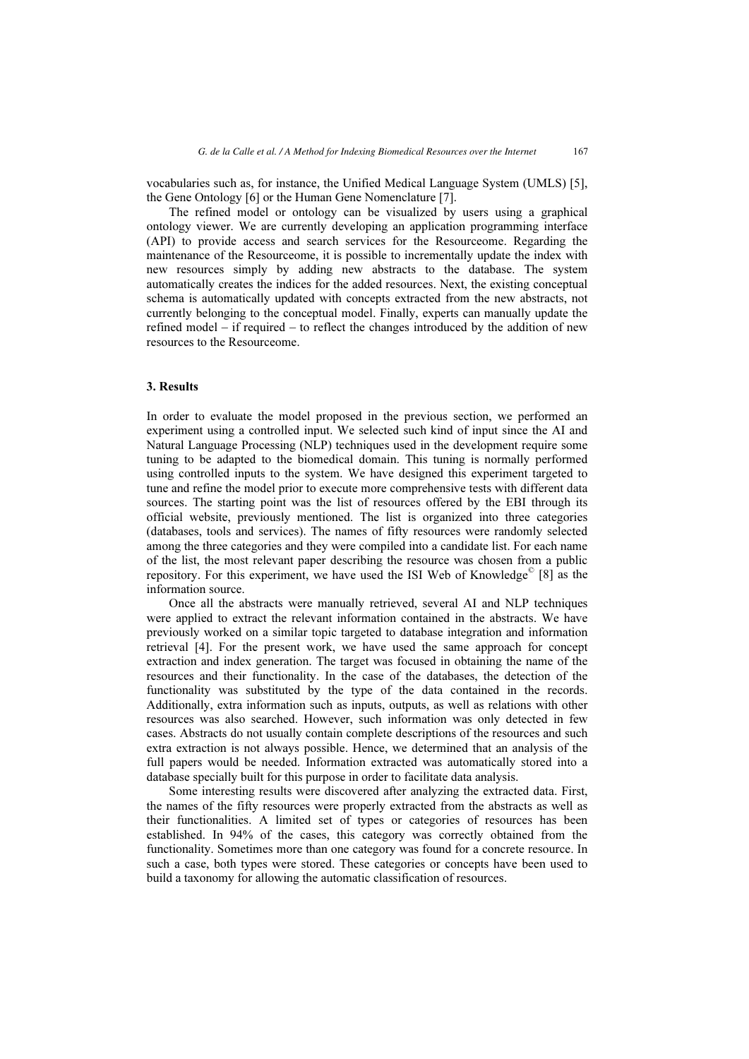vocabularies such as, for instance, the Unified Medical Language System (UMLS) [5], the Gene Ontology [6] or the Human Gene Nomenclature [7].

The refined model or ontology can be visualized by users using a graphical ontology viewer. We are currently developing an application programming interface (API) to provide access and search services for the Resourceome. Regarding the maintenance of the Resourceome, it is possible to incrementally update the index with new resources simply by adding new abstracts to the database. The system automatically creates the indices for the added resources. Next, the existing conceptual schema is automatically updated with concepts extracted from the new abstracts, not currently belonging to the conceptual model. Finally, experts can manually update the refined model – if required – to reflect the changes introduced by the addition of new resources to the Resourceome.

# 3. Results

In order to evaluate the model proposed in the previous section, we performed an experiment using a controlled input. We selected such kind of input since the AI and Natural Language Processing (NLP) techniques used in the development require some tuning to be adapted to the biomedical domain. This tuning is normally performed using controlled inputs to the system. We have designed this experiment targeted to tune and refine the model prior to execute more comprehensive tests with different data sources. The starting point was the list of resources offered by the EBI through its official website, previously mentioned. The list is organized into three categories (databases, tools and services). The names of fifty resources were randomly selected among the three categories and they were compiled into a candidate list. For each name of the list, the most relevant paper describing the resource was chosen from a public repository. For this experiment, we have used the ISI Web of Knowledge<sup>©</sup> [8] as the information source.

Once all the abstracts were manually retrieved, several AI and NLP techniques were applied to extract the relevant information contained in the abstracts. We have previously worked on a similar topic targeted to database integration and information retrieval [4]. For the present work, we have used the same approach for concept extraction and index generation. The target was focused in obtaining the name of the resources and their functionality. In the case of the databases, the detection of the functionality was substituted by the type of the data contained in the records. Additionally, extra information such as inputs, outputs, as well as relations with other resources was also searched. However, such information was only detected in few cases. Abstracts do not usually contain complete descriptions of the resources and such extra extraction is not always possible. Hence, we determined that an analysis of the full papers would be needed. Information extracted was automatically stored into a database specially built for this purpose in order to facilitate data analysis.

Some interesting results were discovered after analyzing the extracted data. First, the names of the fifty resources were properly extracted from the abstracts as well as their functionalities. A limited set of types or categories of resources has been established. In 94% of the cases, this category was correctly obtained from the functionality. Sometimes more than one category was found for a concrete resource. In such a case, both types were stored. These categories or concepts have been used to build a taxonomy for allowing the automatic classification of resources.